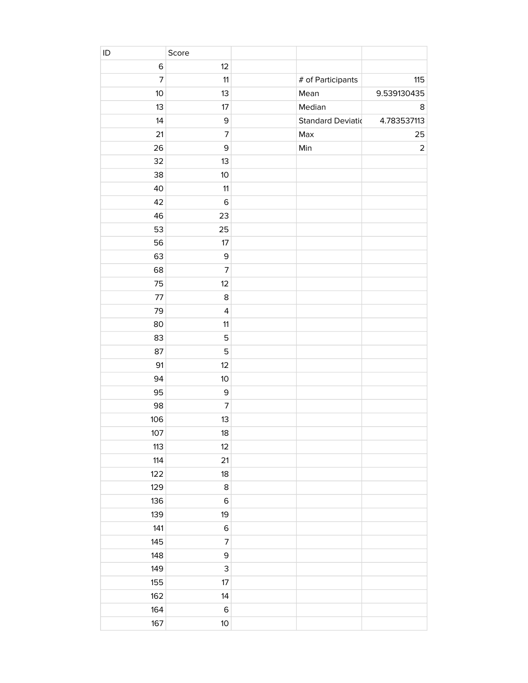| ID             | Score                   |                          |             |
|----------------|-------------------------|--------------------------|-------------|
| $\mathsf 6$    | 12                      |                          |             |
| $\overline{7}$ | 11                      | # of Participants        | 115         |
| 10             | 13                      | Mean                     | 9.539130435 |
| 13             | 17                      | Median                   | 8           |
| 14             | $\mathsf 9$             | <b>Standard Deviatio</b> | 4.783537113 |
| 21             | $\overline{7}$          | Max                      | 25          |
| 26             | $\mathsf 9$             | Min                      | $\mathbf 2$ |
| 32             | 13                      |                          |             |
| 38             | 10                      |                          |             |
| 40             | 11                      |                          |             |
| 42             | $\,$ 6                  |                          |             |
| 46             | 23                      |                          |             |
| 53             | 25                      |                          |             |
| 56             | 17                      |                          |             |
| 63             | $\mathsf 9$             |                          |             |
| 68             | $\overline{7}$          |                          |             |
| 75             | 12                      |                          |             |
| 77             | 8                       |                          |             |
| 79             | $\overline{\mathbf{4}}$ |                          |             |
| 80             | 11                      |                          |             |
| 83             | 5                       |                          |             |
| 87             | 5                       |                          |             |
| 91             | 12                      |                          |             |
| 94             | 10                      |                          |             |
| 95             | $\mathsf 9$             |                          |             |
| 98             | $\overline{7}$          |                          |             |
| 106            | 13                      |                          |             |
| 107            | 18                      |                          |             |
| 113            | 12                      |                          |             |
| 114            | 21                      |                          |             |
| 122            | 18                      |                          |             |
| 129            | $\,$ 8 $\,$             |                          |             |
| 136            | $\mathsf 6$             |                          |             |
| 139            | 19                      |                          |             |
| 141            | $\mathsf 6$             |                          |             |
| 145            | $\overline{7}$          |                          |             |
| 148            | $\mathsf 9$             |                          |             |
| 149            | 3                       |                          |             |
| 155            | 17                      |                          |             |
| 162            | 14                      |                          |             |
| 164            | $\,$ 6                  |                          |             |
| 167            | $10$                    |                          |             |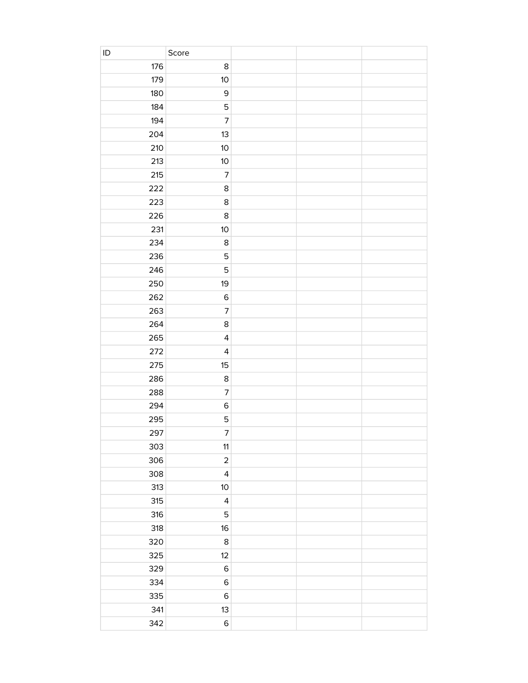| $\sf ID$ | Score                   |  |  |
|----------|-------------------------|--|--|
| 176      | $\bf 8$                 |  |  |
| 179      | 10                      |  |  |
| 180      | $\mathsf 9$             |  |  |
| 184      | 5                       |  |  |
| 194      | $\overline{7}$          |  |  |
| 204      | 13                      |  |  |
| 210      | 10                      |  |  |
| 213      | 10                      |  |  |
| 215      | $\overline{7}$          |  |  |
| 222      | 8                       |  |  |
| 223      | 8                       |  |  |
| 226      | 8                       |  |  |
| 231      | 10                      |  |  |
| 234      | 8                       |  |  |
| 236      | 5                       |  |  |
| 246      | 5                       |  |  |
| 250      | 19                      |  |  |
| 262      | $\,$ 6                  |  |  |
| 263      | $\overline{7}$          |  |  |
| 264      | 8                       |  |  |
| 265      | $\overline{\mathbf{4}}$ |  |  |
| 272      | $\overline{\mathbf{4}}$ |  |  |
| 275      | 15                      |  |  |
| 286      | $\,$ 8 $\,$             |  |  |
| 288      | $\overline{7}$          |  |  |
| 294      | $\,$ 6 $\,$             |  |  |
| 295      | 5                       |  |  |
| 297      | $\overline{7}$          |  |  |
| 303      | 11                      |  |  |
| 306      | $\mathbf 2$             |  |  |
| 308      | $\overline{\mathbf{4}}$ |  |  |
| 313      | $10$                    |  |  |
| 315      | $\overline{\mathbf{4}}$ |  |  |
| 316      | $\mathbf 5$             |  |  |
| 318      | 16                      |  |  |
| 320      | $\,$ 8 $\,$             |  |  |
| 325      | 12                      |  |  |
| 329      | $\mathsf 6$             |  |  |
| 334      | $\mathsf 6$             |  |  |
| 335      | $\,$ 6                  |  |  |
| 341      | 13                      |  |  |
| 342      | $\mathsf 6$             |  |  |